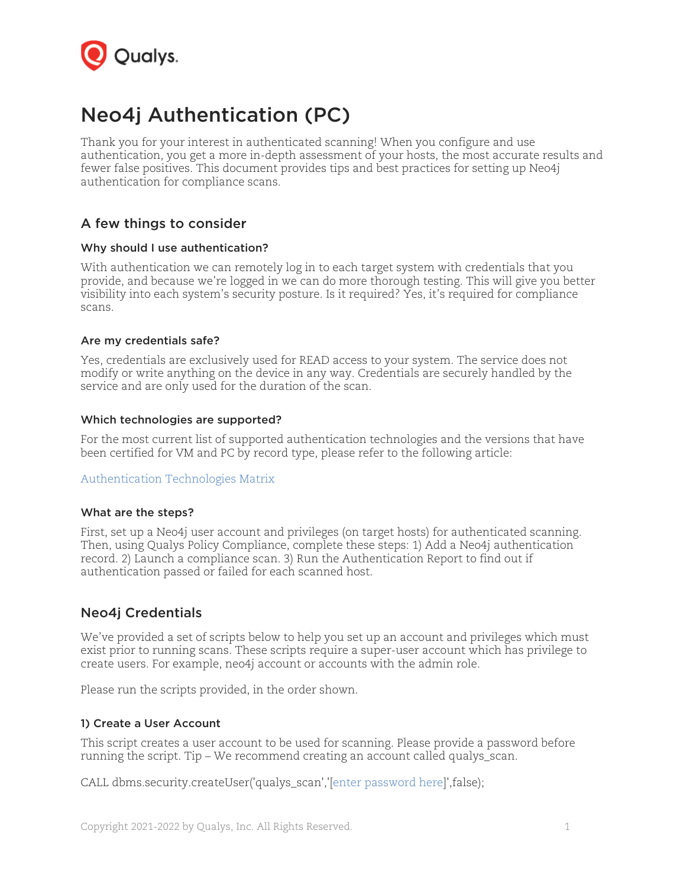

# Neo4j Authentication (PC)

Thank you for your interest in authenticated scanning! When you configure and use authentication, you get a more in-depth assessment of your hosts, the most accurate results and fewer false positives. This document provides tips and best practices for setting up Neo4j authentication for compliance scans.

## A few things to consider

#### Why should I use authentication?

With authentication we can remotely log in to each target system with credentials that you provide, and because we're logged in we can do more thorough testing. This will give you better visibility into each system's security posture. Is it required? Yes, it's required for compliance scans.

#### Are my credentials safe?

Yes, credentials are exclusively used for READ access to your system. The service does not modify or write anything on the device in any way. Credentials are securely handled by the service and are only used for the duration of the scan.

#### Which technologies are supported?

For the most current list of supported authentication technologies and the versions that have been certified for VM and PC by record type, please refer to the following article:

#### [Authentication Technologies Matrix](https://success.qualys.com/support/s/article/000006761)

#### What are the steps?

First, set up a Neo4j user account and privileges (on target hosts) for authenticated scanning. Then, using Qualys Policy Compliance, complete these steps: 1) Add a Neo4j authentication record. 2) Launch a compliance scan. 3) Run the Authentication Report to find out if authentication passed or failed for each scanned host.

## Neo4j Credentials

We've provided a set of scripts below to help you set up an account and privileges which must exist prior to running scans. These scripts require a super-user account which has privilege to create users. For example, neo4j account or accounts with the admin role.

Please run the scripts provided, in the order shown.

#### 1) Create a User Account

This script creates a user account to be used for scanning. Please provide a password before running the script. Tip – We recommend creating an account called qualys\_scan.

CALL dbms.security.createUser('qualys\_scan','[enter password here]',false);